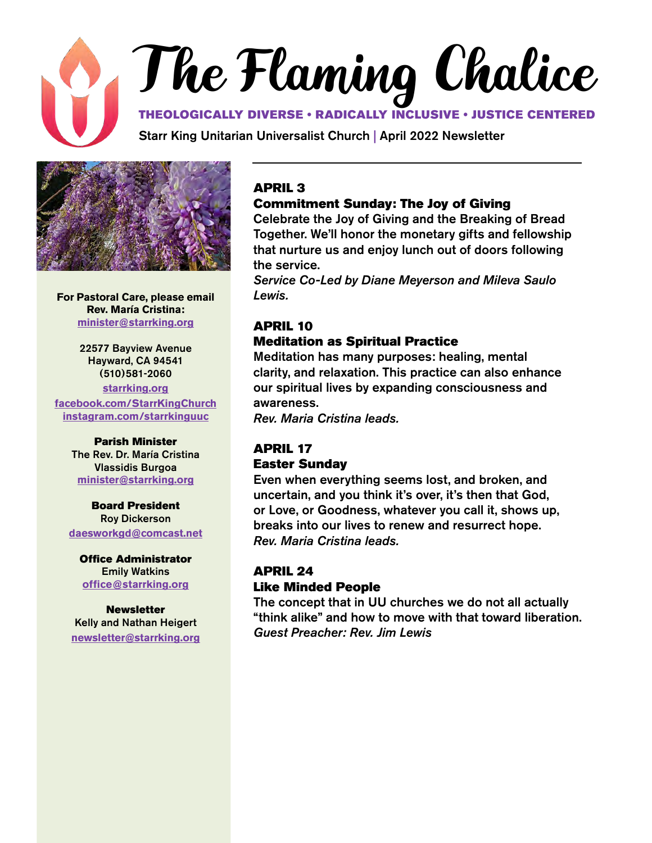# The Flaming Chalice THEOLOGICALLY DIVERSE • RADICALLY INCLUSIVE • JUSTICE CENTERED

Starr King Unitarian Universalist Church | April 2022 Newsletter



**For Pastoral Care, please email Rev. María Cristina: [minister@starrking.org](mailto:minister%40starrking.org?subject=)**

> 22577 Bayview Avenue Hayward, CA 94541 (510)581-2060

**[starrking.org](http://starrking.org) [facebook.com/StarrKingChurch](http://facebook.com/StarrKingChurch) [instagram.com/starrkinguuc](https://www.instagram.com/starrkinguuc )**

#### Parish Minister

The Rev. Dr. María Cristina Vlassidis Burgoa **[minister@starrking.org](mailto:minister@starrking.org)**

### Board President Roy Dickerson **[daesworkgd@comcast.net](mailto:daesworkgd%40comcast.net?subject=)**

Office Administrator Emily Watkins **[office@starrking.org](mailto:office%40starrking.org?subject=)**

**Newsletter** Kelly and Nathan Heigert **[newsletter@starrking.org](mailto:newsletter%40starrking.org?subject=)**

### APRIL 3

### Commitment Sunday: The Joy of Giving

Celebrate the Joy of Giving and the Breaking of Bread Together. We'll honor the monetary gifts and fellowship that nurture us and enjoy lunch out of doors following the service.

*Service Co-Led by Diane Meyerson and Mileva Saulo Lewis.*

### APRIL 10

### Meditation as Spiritual Practice

Meditation has many purposes: healing, mental clarity, and relaxation. This practice can also enhance our spiritual lives by expanding consciousness and awareness.

*Rev. Maria Cristina leads.*

### APRIL 17

### Easter Sunday

Even when everything seems lost, and broken, and uncertain, and you think it's over, it's then that God, or Love, or Goodness, whatever you call it, shows up, breaks into our lives to renew and resurrect hope. *Rev. Maria Cristina leads.*

### APRIL 24 Like Minded People

The concept that in UU churches we do not all actually "think alike" and how to move with that toward liberation. *Guest Preacher: Rev. Jim Lewis*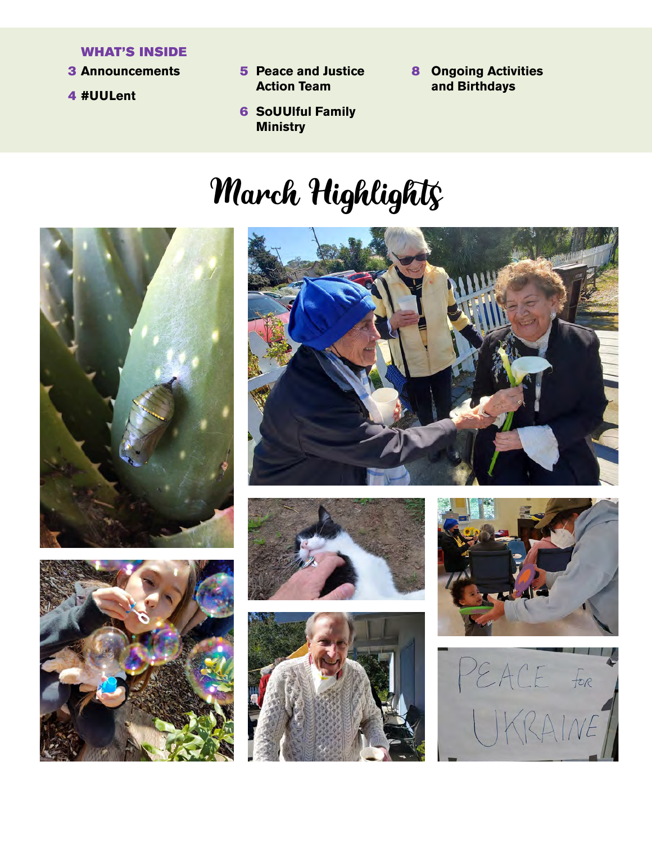### WHAT'S INSIDE

- **3 Announcements**
- 4 **#UULent**
- 5 **Announcements** 8 **Peace and Justice Action Team** 
	- 6 **SoUUlful Family Ministry**
- **Ongoing Activities and Birthdays**

# March Highlights













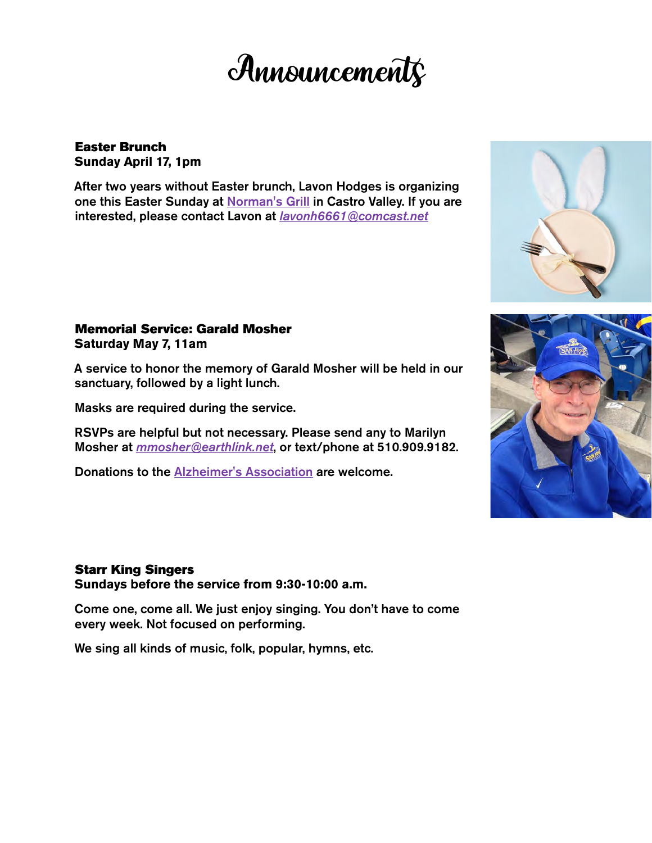## **Announcements**

### Easter Brunch **Sunday April 17, 1pm**

After two years without Easter brunch, Lavon Hodges is organizing one this Easter Sunday at [Norman's Grill](https://r20.rs6.net/tn.jsp?f=001Id18HJz-7By_XrwsoGxPfsCZ8Kq_EEGnHUZ_uuJsso656Pq4vVpSSh-2d8GOBN_CxmNKUFXE2e6QjD4Eh1eVtKdgPLyE2cK-WGygiKXUnYsvpaf21dr7P0J1j2NU6-3a0lCZuiXLmvZyWUtZ7LHWsA==&c=Db-X58R_FxE14F9SCx2gQTqCrXJu4sCHoEjvIUB2jFQ6gwjBepdXDg==&ch=JfB7OTq-20Ud1Z3H_RZySwr7C5IoSdz2KoCAzRY1PPsHAQ9J9dGZXA==) in Castro Valley. If you are interested, please contact Lavon at *[lavonh6661@comcast.net](mailto:lavonh6661%40comcast.net?subject=)*

### Memorial Service: Garald Mosher **Saturday May 7, 11am**

A service to honor the memory of Garald Mosher will be held in our sanctuary, followed by a light lunch.

Masks are required during the service.

RSVPs are helpful but not necessary. Please send any to Marilyn Mosher at *[mmosher@earthlink.net](mailto:mmosher%40earthlink.net?subject=)*, or text/phone at 510.909.9182.

Donations to the [Alzheimer's Association](https://www.alz.org/) are welcome.

### Starr King Singers

**Sundays before the service from 9:30-10:00 a.m.**

Come one, come all. We just enjoy singing. You don't have to come every week. Not focused on performing.

We sing all kinds of music, folk, popular, hymns, etc.



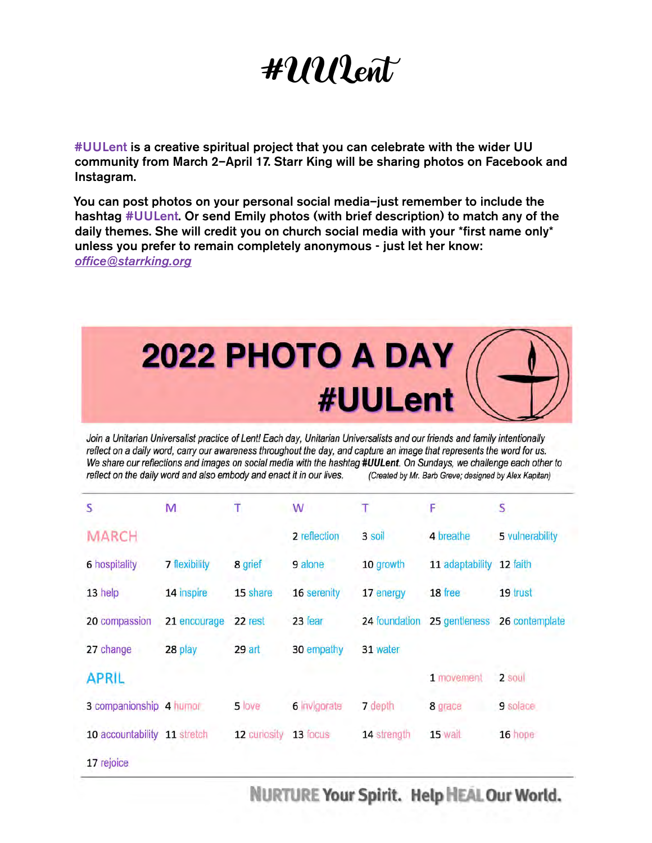## #UULent

#UULent is a creative spiritual project that you can celebrate with the wider UU community from March 2–April 17. Starr King will be sharing photos on Facebook and Instagram.

You can post photos on your personal social media–just remember to include the hashtag #UULent. Or send Emily photos (with brief description) to match any of the daily themes. She will credit you on church social media with your \*first name only\* unless you prefer to remain completely anonymous - just let her know: *[office@starrking.org](mailto:office%40starrking.org?subject=)*



Join a Unitarian Universalist practice of Lent! Each day, Unitarian Universalists and our friends and family intentionally reflect on a daily word, carry our awareness throughout the day, and capture an image that represents the word for us. We share our reflections and images on social media with the hashtag #UULent. On Sundays, we challenge each other to reflect on the daily word and also embody and enact it in our lives. (Created by Mr. Barb Greve; designed by Alex Kapitan)

| S                       | M                    | т            | W            |               | F               | s               |
|-------------------------|----------------------|--------------|--------------|---------------|-----------------|-----------------|
| MARCH                   |                      |              | 2 reflection | 3 soil        | 4 breathe       | 5 vulnerability |
| 6 hospitality           | <b>7 flexibility</b> | 8 grief      | 9 alone      | 10 growth     | 11 adaptability | 12 faith        |
| 13 help                 | 14 inspire           | 15 share     | 16 serenity  | 17 energy     | 18 free         | 19 trust        |
| 20 compassion           | 21 encourage         | 22 rest      | 23 fear      | 24 foundation | 25 gentleness   | 26 contemplate  |
| 27 change               | 28 play              | 29 art       | 30 empathy   | 31 water      |                 |                 |
| <b>APRIL</b>            |                      |              |              |               | 1 movement      | 2 soul          |
| 3 companionship 4 humor |                      | 5 love       | 6 invigorate | 7 depth       | 8 grace         | 9 solace        |
| 10 accountability       | 11 stretch           | 12 curiosity | 13 focus     | 14 strength   | 15 wait         | 16 hope         |
| 17 rejoice              |                      |              |              |               |                 |                 |

NURTURE Your Spirit. Help HEAL Our World.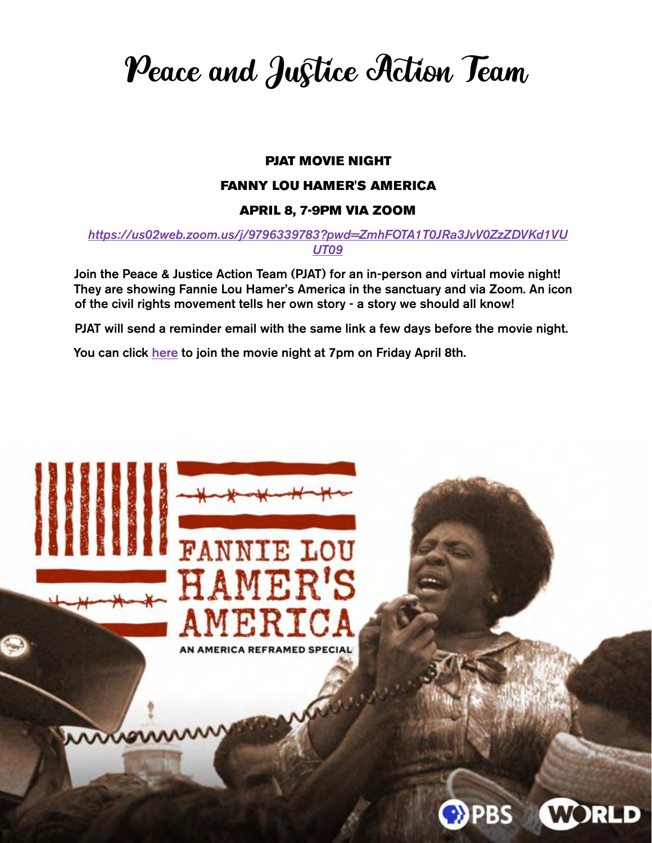Peace and Justice Action Team

### PJAT MOVIE NIGHT

#### FANNY LOU HAMER'S AMERICA

### APRIL 8, 7-9PM VIA ZOOM

*[https://us02web.zoom.us/j/9796339783?pwd=ZmhFOTA1T0JRa3JvV0ZzZDVKd1VU](https://us02web.zoom.us/j/9796339783?pwd=ZmhFOTA1T0JRa3JvV0ZzZDVKd1VUUT09) [UT09](https://us02web.zoom.us/j/9796339783?pwd=ZmhFOTA1T0JRa3JvV0ZzZDVKd1VUUT09)*

Join the Peace & Justice Action Team (PJAT) for an in-person and virtual movie night! They are showing Fannie Lou Hamer's America in the sanctuary and via Zoom. An icon of the civil rights movement tells her own story - a story we should all know!

PJAT will send a reminder email with the same link a few days before the movie night.

You can click [here](https://us02web.zoom.us/j/9796339783?pwd=ZmhFOTA1T0JRa3JvV0ZzZDVKd1VUUT09) to join the movie night at 7pm on Friday April 8th.

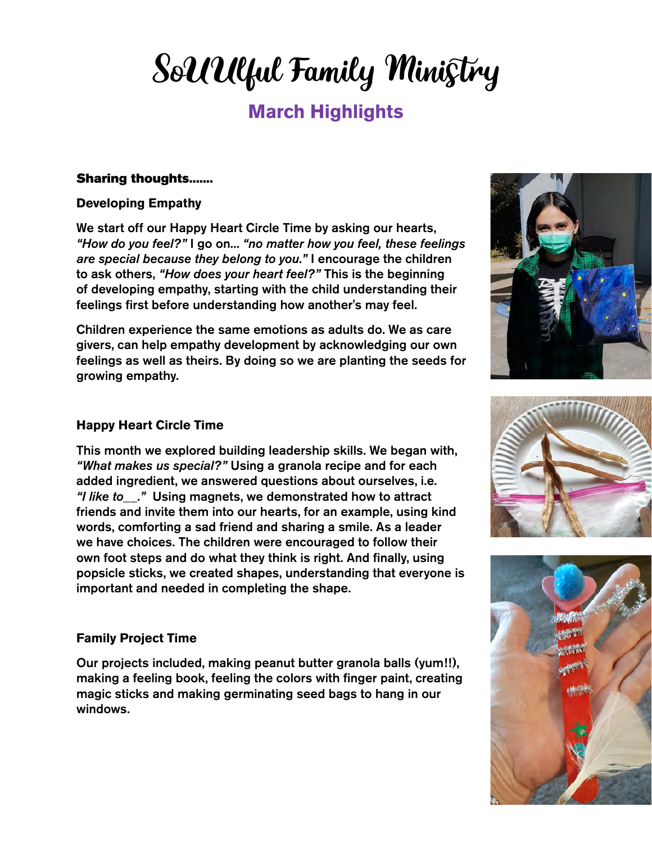# SoUUlful Family Ministry

## **March Highlights**

### Sharing thoughts.......

### **Developing Empathy**

We start off our Happy Heart Circle Time by asking our hearts, *"How do you feel?"* I go on... *"no matter how you feel, these feelings are special because they belong to you."* I encourage the children to ask others, *"How does your heart feel?"* This is the beginning of developing empathy, starting with the child understanding their feelings first before understanding how another's may feel.

Children experience the same emotions as adults do. We as care givers, can help empathy development by acknowledging our own feelings as well as theirs. By doing so we are planting the seeds for growing empathy.

### **Happy Heart Circle Time**

This month we explored building leadership skills. We began with, *"What makes us special?"* Using a granola recipe and for each added ingredient, we answered questions about ourselves, i.e. *"I like to\_\_."* Using magnets, we demonstrated how to attract friends and invite them into our hearts, for an example, using kind words, comforting a sad friend and sharing a smile. As a leader we have choices. The children were encouraged to follow their own foot steps and do what they think is right. And finally, using popsicle sticks, we created shapes, understanding that everyone is important and needed in completing the shape.

### **Family Project Time**

Our projects included, making peanut butter granola balls (yum!!), making a feeling book, feeling the colors with finger paint, creating magic sticks and making germinating seed bags to hang in our windows.





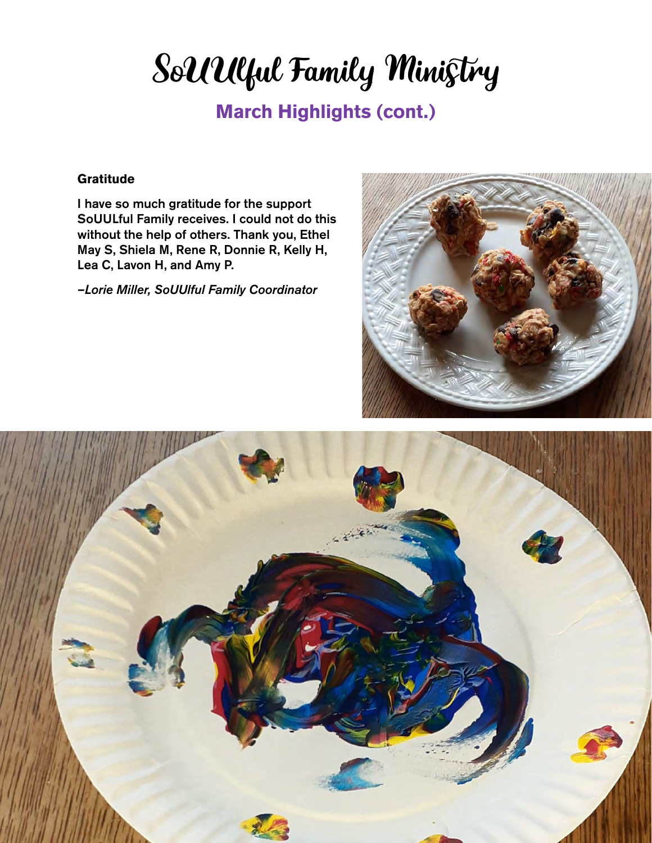# SoUUlful Family Ministry

### **March Highlights (cont.)**

### **Gratitude**

I have so much gratitude for the support SoUULful Family receives. I could not do this without the help of others. Thank you, Ethel May S, Shiela M, Rene R, Donnie R, Kelly H, Lea C, Lavon H, and Amy P.

*–Lorie Miller, SoUUlful Family Coordinator*